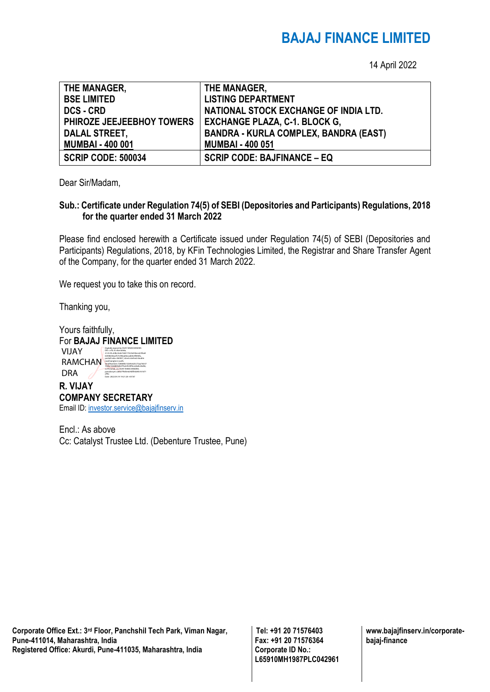## **BAJAJ FINANCE LIMITED**

14 April 2022

| THE MANAGER,              | THE MANAGER,                                 |
|---------------------------|----------------------------------------------|
| <b>BSE LIMITED</b>        | <b>LISTING DEPARTMENT</b>                    |
| <b>DCS - CRD</b>          | NATIONAL STOCK EXCHANGE OF INDIA LTD.        |
| PHIROZE JEEJEEBHOY TOWERS | <b>EXCHANGE PLAZA, C-1. BLOCK G,</b>         |
| <b>DALAL STREET,</b>      | <b>BANDRA - KURLA COMPLEX, BANDRA (EAST)</b> |
| <b>MUMBAI - 400 001</b>   | <b>MUMBAI - 400 051</b>                      |
| <b>SCRIP CODE: 500034</b> | <b>SCRIP CODE: BAJFINANCE - EQ</b>           |

Dear Sir/Madam,

## **Sub.: Certificate under Regulation 74(5) of SEBI (Depositories and Participants) Regulations, 2018 for the quarter ended 31 March 2022**

Please find enclosed herewith a Certificate issued under Regulation 74(5) of SEBI (Depositories and Participants) Regulations, 2018, by KFin Technologies Limited, the Registrar and Share Transfer Agent of the Company, for the quarter ended 31 March 2022.

We request you to take this on record.

Thanking you,

| Yours faithfully, |                                                                                                                                                      |
|-------------------|------------------------------------------------------------------------------------------------------------------------------------------------------|
|                   | For <b>BAJAJ FINANCE LIMITED</b>                                                                                                                     |
| VIJAY             | Digitally signed by VIJAY RAMCHANDRA<br>DN: c=IN. st=Karnataka.<br>2.5.4.20-64bc3edc7e65172c0a53beca53faa8<br>63408256acf57c096ad0ecad64c4f843fa.    |
| RAMCHAN           | postalCode=560027, street=behind double<br>road banglore south.<br>serialNumber=fc8684b15269c625c72aa76337<br>70e8r160d844db57fa7ef774f0ree0a8r7640e |

**R. VIJAY COMPANY SECRETARY** DRA pseudonym=a6027f4d5e624bffebb9b161671 cff9c Date: 2022.04.14 19:21:20 +05'30'

Email ID[: investor.service@bajajfinserv.in](mailto:investor.service@bajajfinserv.in)

70e8c160d844db57fa2ef224f0cee0a8c26d0e, o=Personal, cn=VIJAY RAMCHANDRA,

Encl.: As above Cc: Catalyst Trustee Ltd. (Debenture Trustee, Pune)

**Corporate Office Ext.: 3rd Floor, Panchshil Tech Park, Viman Nagar, Pune-411014, Maharashtra, India Registered Office: Akurdi, Pune-411035, Maharashtra, India** 

**Tel: +91 20 71576403 Fax: +91 20 71576364 Corporate ID No.: L65910MH1987PLC042961** **www.bajajfinserv.in/corporatebajaj-finance**